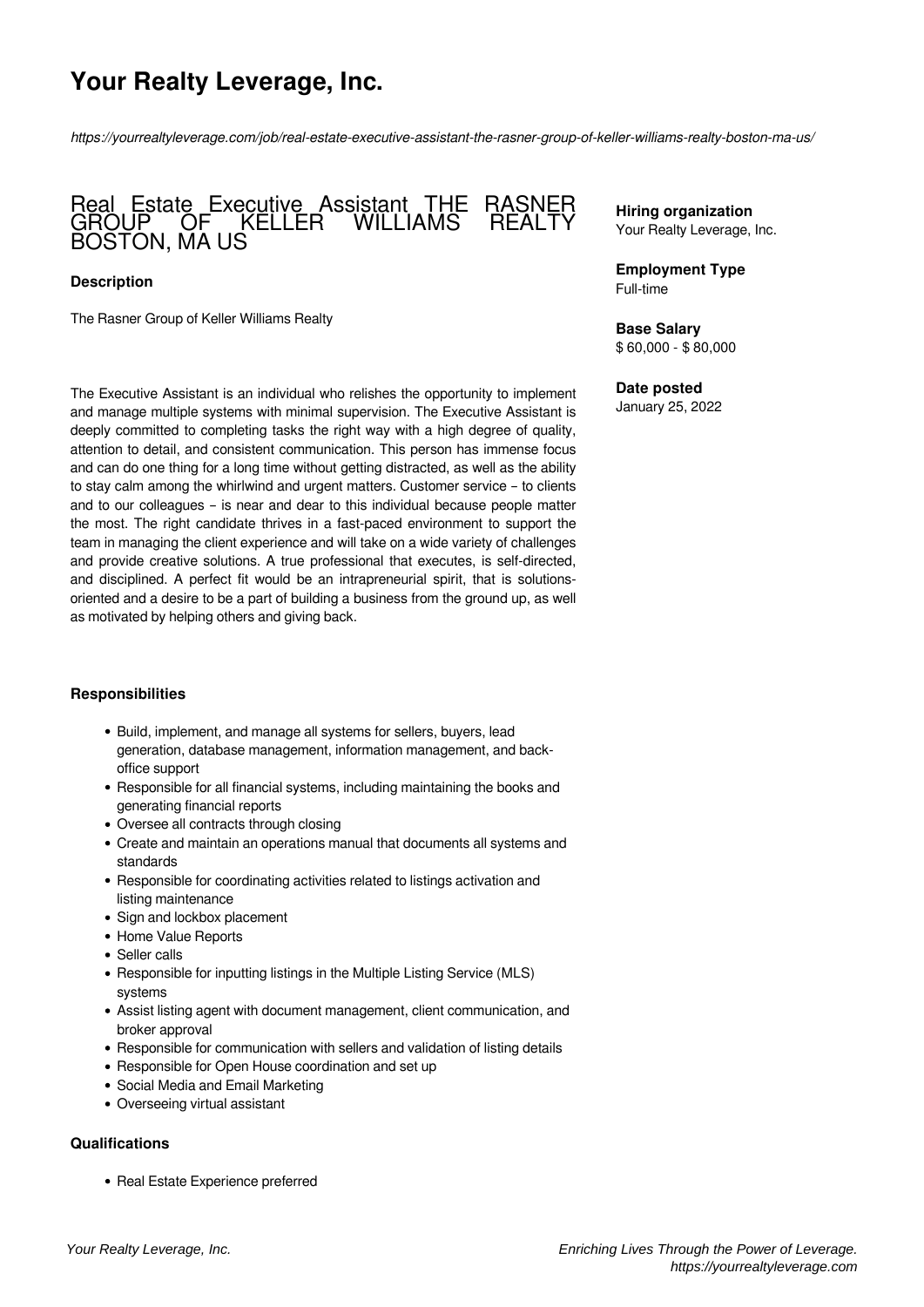# **Your Realty Leverage, Inc.**

*https://yourrealtyleverage.com/job/real-estate-executive-assistant-the-rasner-group-of-keller-williams-realty-boston-ma-us/*

## Real Estate Executive Assistant THE RASNER GROUP OF KELLER WILLIAMS REALTY BOSTON, MA US

### **Description**

The Rasner Group of Keller Williams Realty

The Executive Assistant is an individual who relishes the opportunity to implement and manage multiple systems with minimal supervision. The Executive Assistant is deeply committed to completing tasks the right way with a high degree of quality, attention to detail, and consistent communication. This person has immense focus and can do one thing for a long time without getting distracted, as well as the ability to stay calm among the whirlwind and urgent matters. Customer service – to clients and to our colleagues – is near and dear to this individual because people matter the most. The right candidate thrives in a fast-paced environment to support the team in managing the client experience and will take on a wide variety of challenges and provide creative solutions. A true professional that executes, is self-directed, and disciplined. A perfect fit would be an intrapreneurial spirit, that is solutionsoriented and a desire to be a part of building a business from the ground up, as well as motivated by helping others and giving back.

## **Responsibilities**

- Build, implement, and manage all systems for sellers, buyers, lead generation, database management, information management, and backoffice support
- Responsible for all financial systems, including maintaining the books and generating financial reports
- Oversee all contracts through closing
- Create and maintain an operations manual that documents all systems and standards
- Responsible for coordinating activities related to listings activation and listing maintenance
- Sign and lockbox placement
- Home Value Reports
- Seller calls
- Responsible for inputting listings in the Multiple Listing Service (MLS) systems
- Assist listing agent with document management, client communication, and broker approval
- Responsible for communication with sellers and validation of listing details
- Responsible for Open House coordination and set up
- Social Media and Email Marketing
- Overseeing virtual assistant

#### **Qualifications**

• Real Estate Experience preferred

**Hiring organization** Your Realty Leverage, Inc.

**Employment Type** Full-time

**Base Salary** \$ 60,000 - \$ 80,000

#### **Date posted**

January 25, 2022